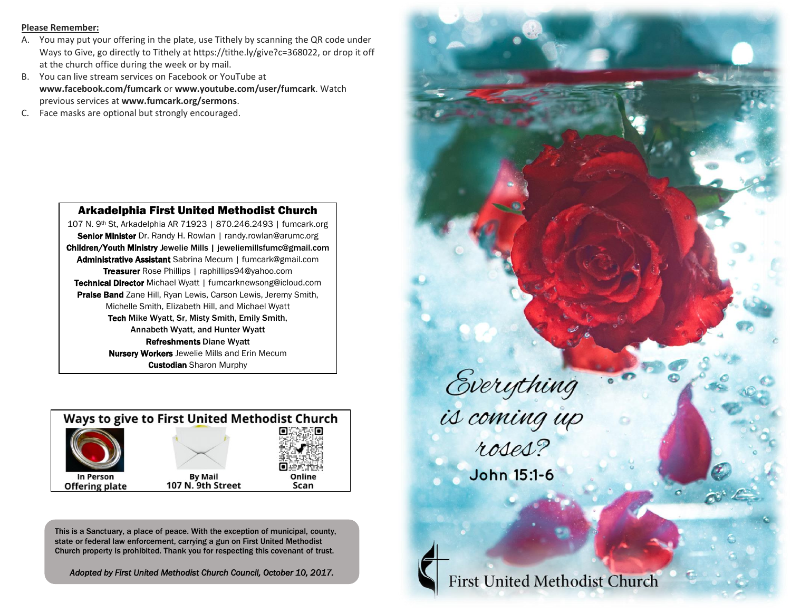#### **Please Remember:**

- A. You may put your offering in the plate, use Tithely by scanning the QR code under Ways to Give, go directly to Tithely at https://tithe.ly/give?c=368022, or drop it off at the church office during the week or by mail.
- B. You can live stream services on Facebook or YouTube at **www.facebook.com/fumcark** or **www.youtube.com/user/fumcark**. Watch previous services at **www.fumcark.org/sermons**.
- C. Face masks are optional but strongly encouraged.



107 N. 9th St, Arkadelphia AR 71923 | 870.246.2493 | fumcark.org Senior Minister Dr. Randy H. Rowlan | randy.rowlan@arumc.org Children/Youth Ministry Jewelie Mills | jeweliemillsfumc@gmail.com Administrative Assistant Sabrina Mecum | fumcark@gmail.com Treasurer Rose Phillips | raphillips94@yahoo.com Technical Director Michael Wyatt | fumcarknewsong@icloud.com Praise Band Zane Hill, Ryan Lewis, Carson Lewis, Jeremy Smith, Michelle Smith, Elizabeth Hill, and Michael Wyatt Tech Mike Wyatt, Sr, Misty Smith, Emily Smith, Annabeth Wyatt, and Hunter Wyatt Refreshments Diane Wyatt **Nursery Workers** Jewelie Mills and Erin Mecum **Custodian** Sharon Murphy



This is a Sanctuary, a place of peace. With the exception of municipal, county, state or federal law enforcement, carrying a gun on First United Methodist Church property is prohibited. Thank you for respecting this covenant of trust.

*Adopted by First United Methodist Church Council, October 10, 2017.*

Everything<br>is coming up<br>roses? John 15:1-6

**First United Methodist Church**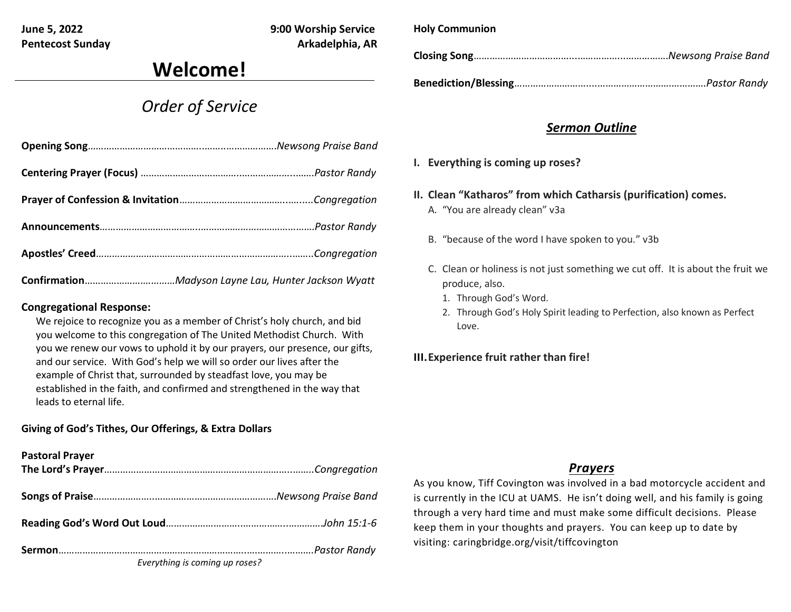Pentecost Sunday **Arkadelphia, AR** 

**June 5, 2022 9:00 Worship Service**

# **Welcome!**

## *Order of Service*

### **Congregational Response:**

We rejoice to recognize you as a member of Christ's holy church, and bid you welcome to this congregation of The United Methodist Church. With you we renew our vows to uphold it by our prayers, our presence, our gifts, and our service. With God's help we will so order our lives after the example of Christ that, surrounded by steadfast love, you may be established in the faith, and confirmed and strengthened in the way that leads to eternal life.

## **Giving of God's Tithes, Our Offerings, & Extra Dollars**

| <b>Pastoral Prayer</b>         |  |
|--------------------------------|--|
|                                |  |
|                                |  |
|                                |  |
|                                |  |
| Everything is coming up roses? |  |

**Holy Communion**

**Closing Song**………………………………...……………...…………….*Newsong Praise Band*

**Benediction/Blessing**………………………....……………………….………….*Pastor Randy*

## *Sermon Outline*

- **I. Everything is coming up roses?**
- **II. Clean "Katharos" from which Catharsis (purification) comes.**
	- A. "You are already clean" v3a
	- B. "because of the word I have spoken to you." v3b
	- C. Clean or holiness is not just something we cut off. It is about the fruit we produce, also.
		- 1. Through God's Word.
		- 2. Through God's Holy Spirit leading to Perfection, also known as Perfect Love.

## **III.Experience fruit rather than fire!**

## *Prayers*

As you know, Tiff Covington was involved in a bad motorcycle accident and is currently in the ICU at UAMS. He isn't doing well, and his family is going through a very hard time and must make some difficult decisions. Please keep them in your thoughts and prayers. You can keep up to date by visiting: caringbridge.org/visit/tiffcovington